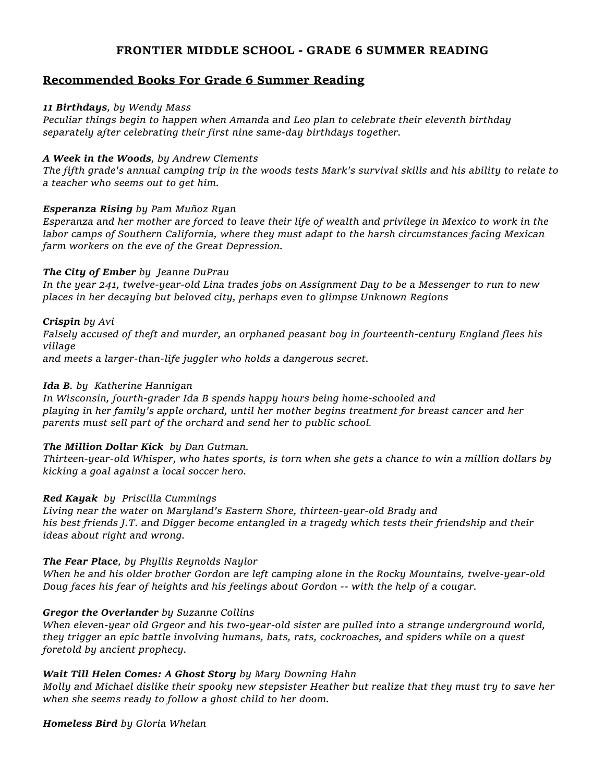## **FRONTIER MIDDLE SCHOOL - GRADE 6 SUMMER READING**

## **Recommended Books For Grade 6 Summer Reading**

## *11 Birthdays, by Wendy Mass*

*Peculiar things begin to happen when Amanda and Leo plan to celebrate their eleventh birthday separately after celebrating their first nine same-day birthdays together.*

## *A Week in the Woods, by Andrew Clements*

*The fifth grade's annual camping trip in the woods tests Mark's survival skills and his ability to relate to a teacher who seems out to get him.*

## *Esperanza Rising by Pam Muñoz Ryan*

*Esperanza and her mother are forced to leave their life of wealth and privilege in Mexico to work in the labor camps of Southern California, where they must adapt to the harsh circumstances facing Mexican farm workers on the eve of the Great Depression.*

## *The City of Ember by Jeanne DuPrau*

*In the year 241, twelve-year-old Lina trades jobs on Assignment Day to be a Messenger to run to new places in her decaying but beloved city, perhaps even to glimpse Unknown Regions*

## *Crispin by Avi*

*Falsely accused of theft and murder, an orphaned peasant boy in fourteenth-century England flees his village*

*and meets a larger-than-life juggler who holds a dangerous secret.*

## *Ida B. by Katherine Hannigan*

*In Wisconsin, fourth-grader Ida B spends happy hours being home-schooled and playing in her family's apple orchard, until her mother begins treatment for breast cancer and her parents must sell part of the orchard and send her to public school.*

## *The Million Dollar Kick by Dan Gutman.*

*Thirteen-year-old Whisper, who hates sports, is torn when she gets a chance to win a million dollars by kicking a goal against a local soccer hero.*

### *Red Kayak by Priscilla Cummings*

*Living near the water on Maryland's Eastern Shore, thirteen-year-old Brady and his best friends J.T. and Digger become entangled in a tragedy which tests their friendship and their ideas about right and wrong.*

## *The Fear Place, by Phyllis Reynolds Naylor*

*When he and his older brother Gordon are left camping alone in the Rocky Mountains, twelve-year-old Doug faces his fear of heights and his feelings about Gordon -- with the help of a cougar.*

### *Gregor the Overlander by Suzanne Collins*

*When eleven-year old Grgeor and his two-year-old sister are pulled into a strange underground world, they trigger an epic battle involving humans, bats, rats, cockroaches, and spiders while on a quest foretold by ancient prophecy.*

### *Wait Till Helen Comes: A Ghost Story by Mary Downing Hahn*

*Molly and Michael dislike their spooky new stepsister Heather but realize that they must try to save her when she seems ready to follow a ghost child to her doom.*

### *Homeless Bird by Gloria Whelan*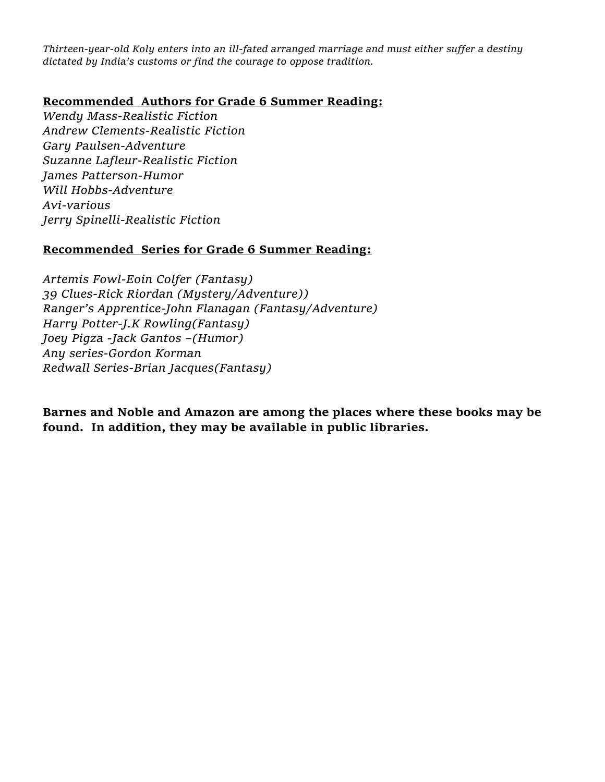*Thirteen-year-old Koly enters into an ill-fated arranged marriage and must either suffer a destiny dictated by India's customs or find the courage to oppose tradition.*

# **Recommended Authors for Grade 6 Summer Reading:**

*Wendy Mass-Realistic Fiction Andrew Clements-Realistic Fiction Gary Paulsen-Adventure Suzanne Lafleur-Realistic Fiction James Patterson-Humor Will Hobbs-Adventure Avi-various Jerry Spinelli-Realistic Fiction*

# **Recommended Series for Grade 6 Summer Reading:**

*Artemis Fowl-Eoin Colfer (Fantasy) 39 Clues-Rick Riordan (Mystery/Adventure)) Ranger's Apprentice-John Flanagan (Fantasy/Adventure) Harry Potter-J.K Rowling(Fantasy) Joey Pigza -Jack Gantos –(Humor) Any series-Gordon Korman Redwall Series-Brian Jacques(Fantasy)*

**Barnes and Noble and Amazon are among the places where these books may be found. In addition, they may be available in public libraries.**